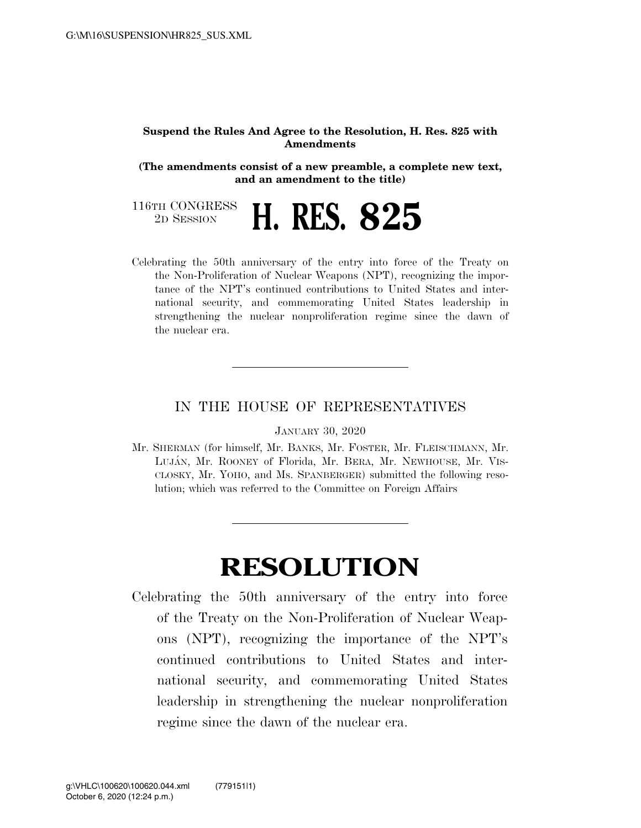## **Suspend the Rules And Agree to the Resolution, H. Res. 825 with Amendments**

**(The amendments consist of a new preamble, a complete new text, and an amendment to the title)** 

116TH CONGRESS<br>2D SESSION 2D SESSION **H. RES. 825** 

Celebrating the 50th anniversary of the entry into force of the Treaty on the Non-Proliferation of Nuclear Weapons (NPT), recognizing the importance of the NPT's continued contributions to United States and international security, and commemorating United States leadership in strengthening the nuclear nonproliferation regime since the dawn of the nuclear era.

## IN THE HOUSE OF REPRESENTATIVES

JANUARY 30, 2020

Mr. SHERMAN (for himself, Mr. BANKS, Mr. FOSTER, Mr. FLEISCHMANN, Mr. LUJA´N, Mr. ROONEY of Florida, Mr. BERA, Mr. NEWHOUSE, Mr. VIS-CLOSKY, Mr. YOHO, and Ms. SPANBERGER) submitted the following resolution; which was referred to the Committee on Foreign Affairs

## **RESOLUTION**

Celebrating the 50th anniversary of the entry into force of the Treaty on the Non-Proliferation of Nuclear Weapons (NPT), recognizing the importance of the NPT's continued contributions to United States and international security, and commemorating United States leadership in strengthening the nuclear nonproliferation regime since the dawn of the nuclear era.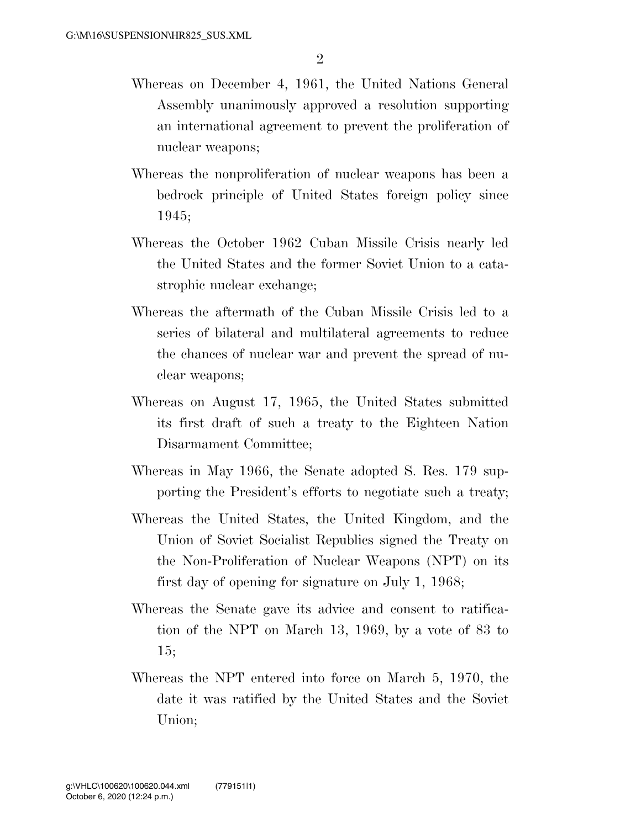- Whereas on December 4, 1961, the United Nations General Assembly unanimously approved a resolution supporting an international agreement to prevent the proliferation of nuclear weapons;
- Whereas the nonproliferation of nuclear weapons has been a bedrock principle of United States foreign policy since 1945;
- Whereas the October 1962 Cuban Missile Crisis nearly led the United States and the former Soviet Union to a catastrophic nuclear exchange;
- Whereas the aftermath of the Cuban Missile Crisis led to a series of bilateral and multilateral agreements to reduce the chances of nuclear war and prevent the spread of nuclear weapons;
- Whereas on August 17, 1965, the United States submitted its first draft of such a treaty to the Eighteen Nation Disarmament Committee;
- Whereas in May 1966, the Senate adopted S. Res. 179 supporting the President's efforts to negotiate such a treaty;
- Whereas the United States, the United Kingdom, and the Union of Soviet Socialist Republics signed the Treaty on the Non-Proliferation of Nuclear Weapons (NPT) on its first day of opening for signature on July 1, 1968;
- Whereas the Senate gave its advice and consent to ratification of the NPT on March 13, 1969, by a vote of 83 to 15;
- Whereas the NPT entered into force on March 5, 1970, the date it was ratified by the United States and the Soviet Union;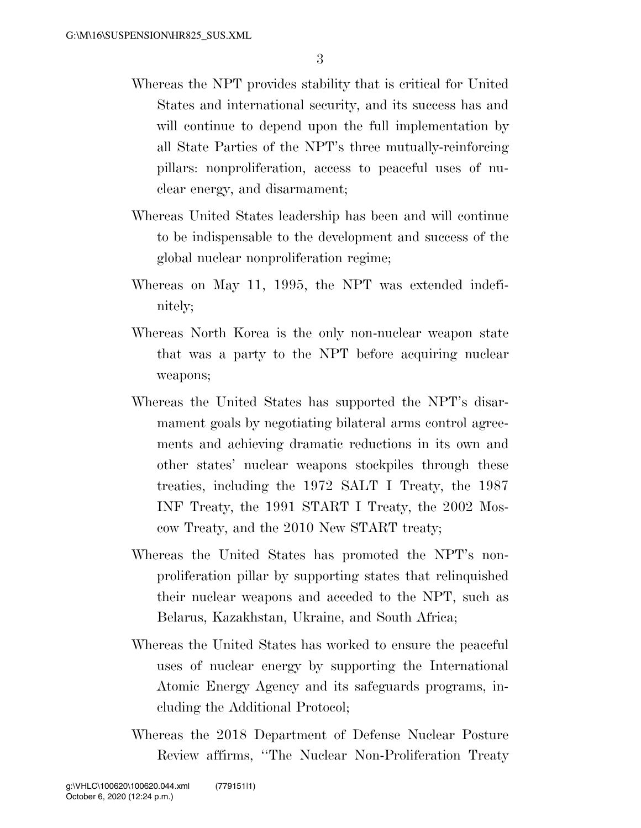- Whereas the NPT provides stability that is critical for United States and international security, and its success has and will continue to depend upon the full implementation by all State Parties of the NPT's three mutually-reinforcing pillars: nonproliferation, access to peaceful uses of nuclear energy, and disarmament;
- Whereas United States leadership has been and will continue to be indispensable to the development and success of the global nuclear nonproliferation regime;
- Whereas on May 11, 1995, the NPT was extended indefinitely;
- Whereas North Korea is the only non-nuclear weapon state that was a party to the NPT before acquiring nuclear weapons;
- Whereas the United States has supported the NPT's disarmament goals by negotiating bilateral arms control agreements and achieving dramatic reductions in its own and other states' nuclear weapons stockpiles through these treaties, including the 1972 SALT I Treaty, the 1987 INF Treaty, the 1991 START I Treaty, the 2002 Moscow Treaty, and the 2010 New START treaty;
- Whereas the United States has promoted the NPT's nonproliferation pillar by supporting states that relinquished their nuclear weapons and acceded to the NPT, such as Belarus, Kazakhstan, Ukraine, and South Africa;
- Whereas the United States has worked to ensure the peaceful uses of nuclear energy by supporting the International Atomic Energy Agency and its safeguards programs, including the Additional Protocol;
- Whereas the 2018 Department of Defense Nuclear Posture Review affirms, ''The Nuclear Non-Proliferation Treaty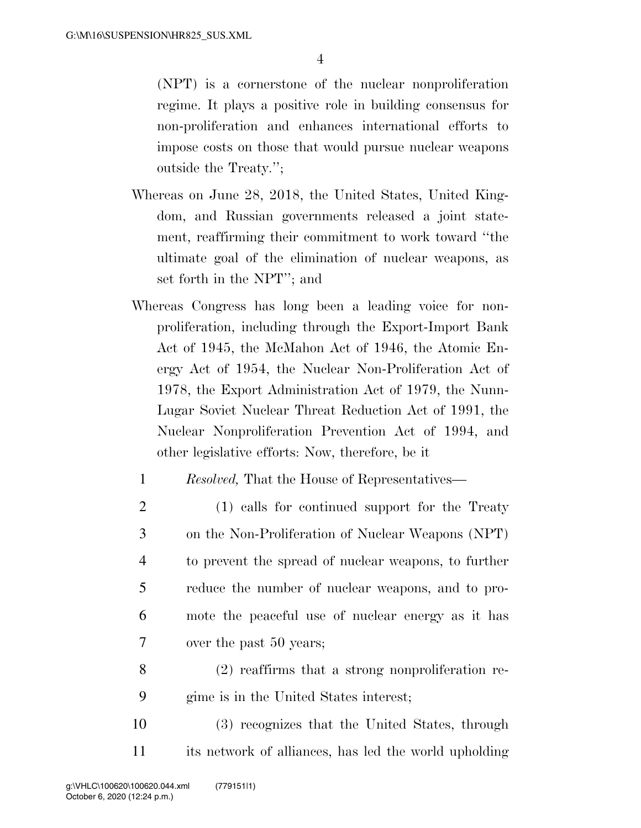(NPT) is a cornerstone of the nuclear nonproliferation regime. It plays a positive role in building consensus for non-proliferation and enhances international efforts to impose costs on those that would pursue nuclear weapons outside the Treaty.'';

- Whereas on June 28, 2018, the United States, United Kingdom, and Russian governments released a joint statement, reaffirming their commitment to work toward ''the ultimate goal of the elimination of nuclear weapons, as set forth in the NPT''; and
- Whereas Congress has long been a leading voice for nonproliferation, including through the Export-Import Bank Act of 1945, the McMahon Act of 1946, the Atomic Energy Act of 1954, the Nuclear Non-Proliferation Act of 1978, the Export Administration Act of 1979, the Nunn-Lugar Soviet Nuclear Threat Reduction Act of 1991, the Nuclear Nonproliferation Prevention Act of 1994, and other legislative efforts: Now, therefore, be it
	- 1 *Resolved,* That the House of Representatives—
- 2 (1) calls for continued support for the Treaty 3 on the Non-Proliferation of Nuclear Weapons (NPT) 4 to prevent the spread of nuclear weapons, to further 5 reduce the number of nuclear weapons, and to pro-6 mote the peaceful use of nuclear energy as it has 7 over the past 50 years;
- 8 (2) reaffirms that a strong nonproliferation re-9 gime is in the United States interest;
- 10 (3) recognizes that the United States, through 11 its network of alliances, has led the world upholding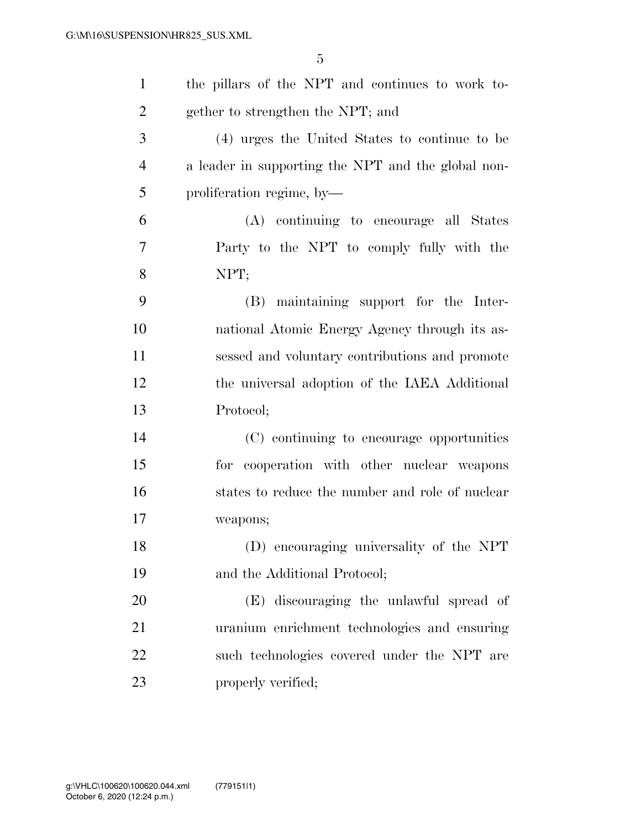| $\mathbf{1}$   | the pillars of the NPT and continues to work to-   |
|----------------|----------------------------------------------------|
| $\overline{2}$ | gether to strengthen the NPT; and                  |
| 3              | (4) urges the United States to continue to be      |
| $\overline{4}$ | a leader in supporting the NPT and the global non- |
| 5              | proliferation regime, by-                          |
| 6              | (A) continuing to encourage all States             |
| 7              | Party to the NPT to comply fully with the          |
| 8              | NPT;                                               |
| 9              | (B) maintaining support for the Inter-             |
| 10             | national Atomic Energy Agency through its as-      |
| 11             | sessed and voluntary contributions and promote     |
| 12             | the universal adoption of the IAEA Additional      |
| 13             | Protocol;                                          |
| 14             | (C) continuing to encourage opportunities          |
| 15             | for cooperation with other nuclear weapons         |
| 16             | states to reduce the number and role of nuclear    |
| 17             | weapons;                                           |
| 18             | (D) encouraging universality of the NPT            |
| 19             | and the Additional Protocol;                       |
| 20             | (E) discouraging the unlawful spread of            |
| 21             | uranium enrichment technologies and ensuring       |
| 22             | such technologies covered under the NPT are        |
| 23             | properly verified;                                 |